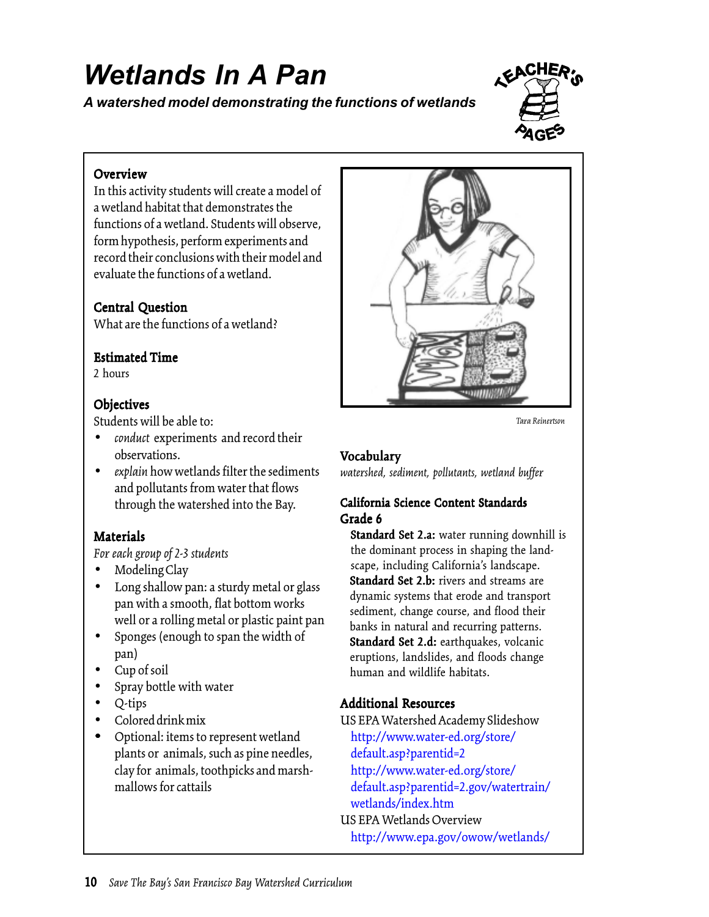# *Wetlands In A Pan*

*A watershed model demonstrating the functions of wetlands*



## Overview

In this activity students will create a model of a wetland habitat that demonstrates the functions of a wetland. Students will observe, form hypothesis, perform experiments and record their conclusions with their model and evaluate the functions of a wetland.

## Central Question

What are the functions of a wetland?

#### **Estimated Time**

2 hours

#### **Objectives**

Students will be able to:

- *conduct* experiments and record their observations.
- *explain* how wetlands filter the sediments and pollutants from water that flows through the watershed into the Bay.

#### **Materials**

*For each group of 2-3 students*

- Modeling Clay
- Long shallow pan: a sturdy metal or glass pan with a smooth, flat bottom works well or a rolling metal or plastic paint pan
- Sponges (enough to span the width of pan)
- Cup of soil
- Spray bottle with water
- Q-tips
- Colored drink mix
- Optional: items to represent wetland plants or animals, such as pine needles, clay for animals, toothpicks and marshmallows for cattails



*Tara Reinertson*

#### Vocabulary

*watershed, sediment, pollutants, wetland buffer*

#### California Science Content Standards Grade 6

Standard Set 2.a: water running downhill is the dominant process in shaping the landscape, including California's landscape. Standard Set 2.b: rivers and streams are dynamic systems that erode and transport sediment, change course, and flood their banks in natural and recurring patterns. Standard Set 2.d: earthquakes, volcanic eruptions, landslides, and floods change human and wildlife habitats.

# Additional Resources

US EPA Watershed Academy Slideshow <http://www.water-ed.org/store/> default.asp?parentid=2 <http://www.water-ed.org/store/> default.asp?parentid=2.gov/watertrain/ wetlands/index.htm US EPA Wetlands Overview <http://www.epa.gov/owow/wetlands/>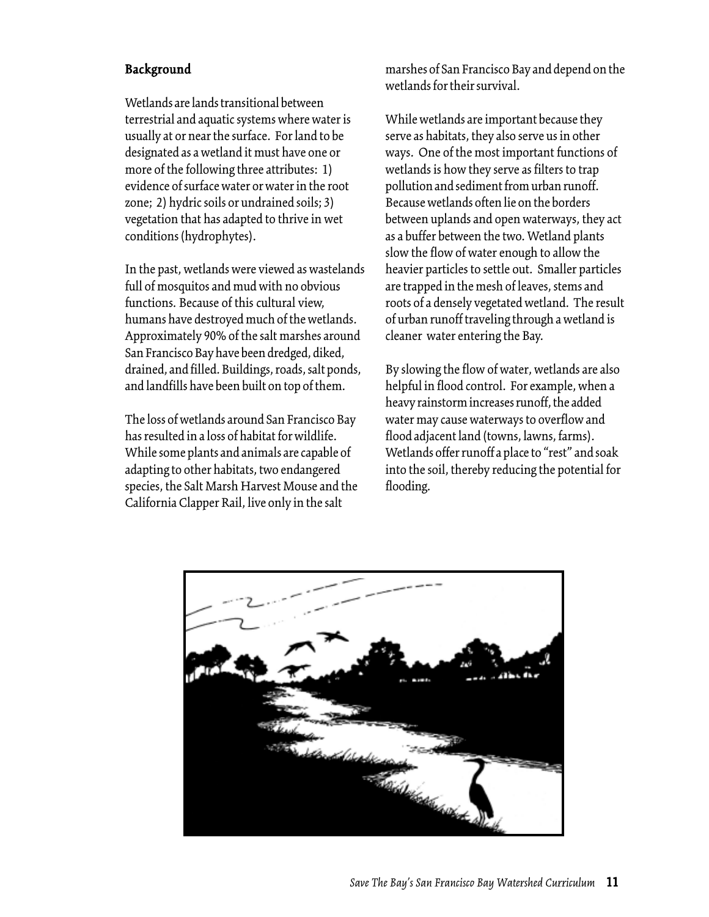#### Background

Wetlands are lands transitional between terrestrial and aquatic systems where water is usually at or near the surface. For land to be designated as a wetland it must have one or more of the following three attributes: 1) evidence of surface water or water in the root zone; 2) hydric soils or undrained soils; 3) vegetation that has adapted to thrive in wet conditions (hydrophytes).

In the past, wetlands were viewed as wastelands full of mosquitos and mud with no obvious functions. Because of this cultural view, humans have destroyed much of the wetlands. Approximately 90% of the salt marshes around San Francisco Bay have been dredged, diked, drained, and filled. Buildings, roads, salt ponds, and landfills have been built on top of them.

The loss of wetlands around San Francisco Bay has resulted in a loss of habitat for wildlife. While some plants and animals are capable of adapting to other habitats, two endangered species, the Salt Marsh Harvest Mouse and the California Clapper Rail, live only in the salt

marshes of San Francisco Bay and depend on the wetlands for their survival.

While wetlands are important because they serve as habitats, they also serve us in other ways. One of the most important functions of wetlands is how they serve as filters to trap pollution and sediment from urban runoff. Because wetlands often lie on the borders between uplands and open waterways, they act as a buffer between the two. Wetland plants slow the flow of water enough to allow the heavier particles to settle out. Smaller particles are trapped in the mesh of leaves, stems and roots of a densely vegetated wetland. The result of urban runoff traveling through a wetland is cleaner water entering the Bay.

By slowing the flow of water, wetlands are also helpful in flood control. For example, when a heavy rainstorm increases runoff, the added water may cause waterways to overflow and flood adjacent land (towns, lawns, farms). Wetlands offer runoff a place to "rest" and soak into the soil, thereby reducing the potential for flooding.

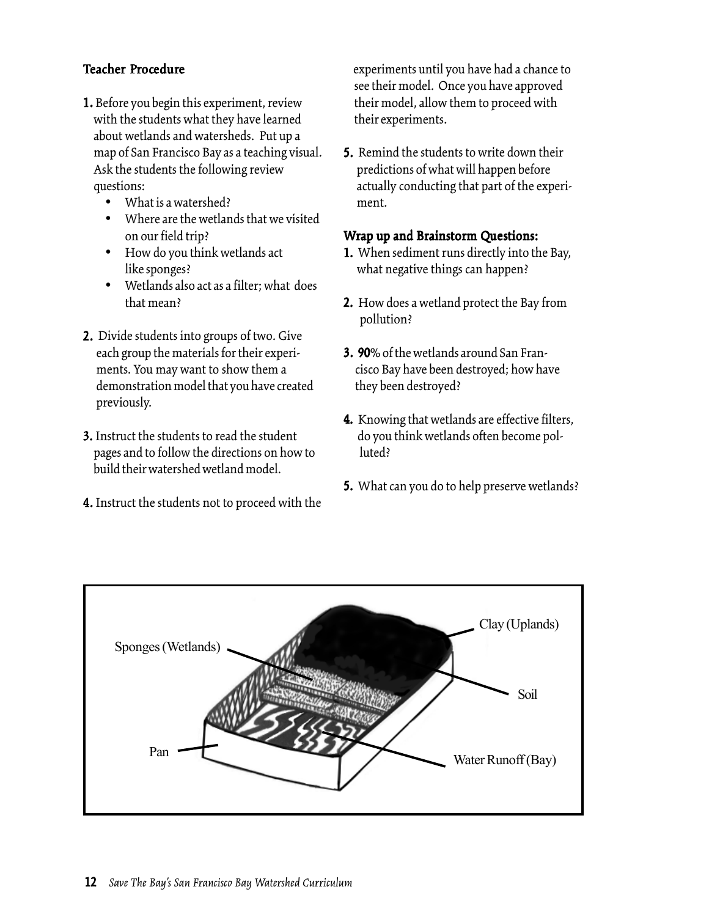### Teacher Procedure

- 1. Before you begin this experiment, review with the students what they have learned about wetlands and watersheds. Put up a map of San Francisco Bay as a teaching visual. Ask the students the following review questions:
	- What is a watershed?
	- Where are the wetlands that we visited on our field trip?
	- How do you think wetlands act like sponges?
	- Wetlands also act as a filter; what does that mean?
- 2. Divide students into groups of two. Give each group the materials for their experiments. You may want to show them a demonstration model that you have created previously.
- 3. Instruct the students to read the student pages and to follow the directions on how to build their watershed wetland model.
- 4. Instruct the students not to proceed with the

 experiments until you have had a chance to see their model. Once you have approved their model, allow them to proceed with their experiments.

5. Remind the students to write down their predictions of what will happen before actually conducting that part of the experiment.

#### Wrap up and Brainstorm Questions:

- 1. When sediment runs directly into the Bay, what negative things can happen?
- **2.** How does a wetland protect the Bay from pollution?
- 3. 90% of the wetlands around San Fran cisco Bay have been destroyed; how have they been destroyed?
- 4. Knowing that wetlands are effective filters, do you think wetlands often become pol luted?
- **5.** What can you do to help preserve wetlands?

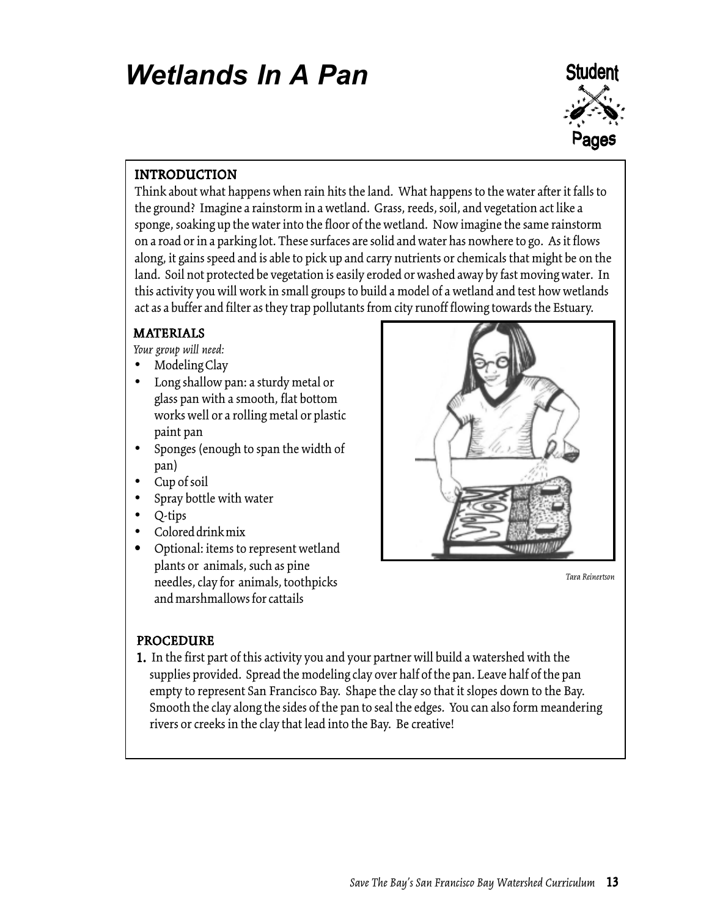# *Wetlands In A Pan*



# INTRODUCTION

Think about what happens when rain hits the land. What happens to the water after it falls to the ground? Imagine a rainstorm in a wetland. Grass, reeds, soil, and vegetation act like a sponge, soaking up the water into the floor of the wetland. Now imagine the same rainstorm on a road or in a parking lot. These surfaces are solid and water has nowhere to go. As it flows along, it gains speed and is able to pick up and carry nutrients or chemicals that might be on the land. Soil not protected be vegetation is easily eroded or washed away by fast moving water. In this activity you will work in small groups to build a model of a wetland and test how wetlands act as a buffer and filter as they trap pollutants from city runoff flowing towards the Estuary.

#### MATERIALS

*Your group will need:*

- Modeling Clay
- Long shallow pan: a sturdy metal or glass pan with a smooth, flat bottom works well or a rolling metal or plastic paint pan
- Sponges (enough to span the width of pan)
- Cup of soil
- Spray bottle with water
- Q-tips
- Colored drink mix
- Optional: items to represent wetland plants or animals, such as pine needles, clay for animals, toothpicks and marshmallows for cattails



*Tara Reinertson*

## PROCEDURE

1. In the first part of this activity you and your partner will build a watershed with the supplies provided. Spread the modeling clay over half of the pan. Leave half of the pan empty to represent San Francisco Bay. Shape the clay so that it slopes down to the Bay. Smooth the clay along the sides of the pan to seal the edges. You can also form meandering rivers or creeks in the clay that lead into the Bay. Be creative!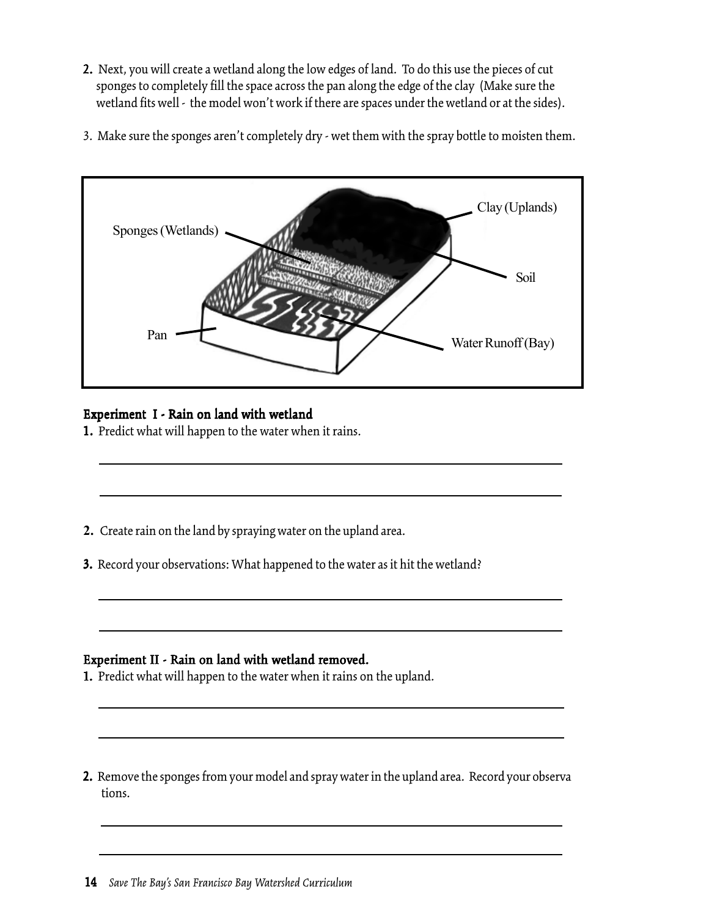- 2. Next, you will create a wetland along the low edges of land. To do this use the pieces of cut sponges to completely fill the space across the pan along the edge of the clay (Make sure the wetland fits well - the model won't work if there are spaces under the wetland or at the sides).
- 3. Make sure the sponges aren't completely dry wet them with the spray bottle to moisten them.



# Experiment I - Rain on land with wetland

1. Predict what will happen to the water when it rains.

- **2.** Create rain on the land by spraying water on the upland area.
- 3. Record your observations: What happened to the water as it hit the wetland?

#### Experiment II - Rain on land with wetland removed.

1. Predict what will happen to the water when it rains on the upland.

2. Remove the sponges from your model and spray water in the upland area. Record your observa 2. tions.